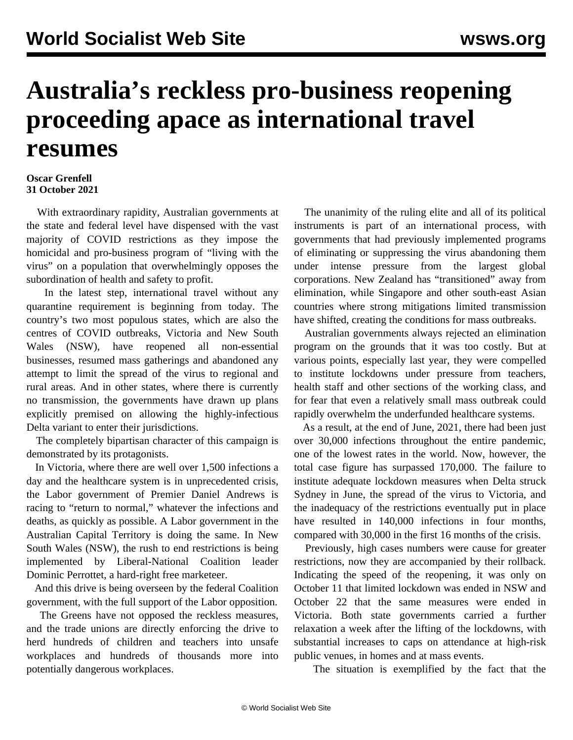## **Australia's reckless pro-business reopening proceeding apace as international travel resumes**

## **Oscar Grenfell 31 October 2021**

 With extraordinary rapidity, Australian governments at the state and federal level have dispensed with the vast majority of COVID restrictions as they impose the homicidal and pro-business program of "living with the virus" on a population that overwhelmingly opposes the subordination of health and safety to profit.

 In the latest step, international travel without any quarantine requirement is beginning from today. The country's two most populous states, which are also the centres of COVID outbreaks, Victoria and New South Wales (NSW), have reopened all non-essential businesses, resumed mass gatherings and abandoned any attempt to limit the spread of the virus to regional and rural areas. And in other states, where there is currently no transmission, the governments have drawn up plans explicitly premised on allowing the highly-infectious Delta variant to enter their jurisdictions.

 The completely bipartisan character of this campaign is demonstrated by its protagonists.

 In Victoria, where there are well over 1,500 infections a day and the healthcare system is in unprecedented crisis, the Labor government of Premier Daniel Andrews is racing to "return to normal," whatever the infections and deaths, as quickly as possible. A Labor government in the Australian Capital Territory is doing the same. In New South Wales (NSW), the rush to end restrictions is being implemented by Liberal-National Coalition leader Dominic Perrottet, a hard-right free marketeer.

 And this drive is being overseen by the federal Coalition government, with the full support of the Labor opposition.

 The Greens have not opposed the reckless measures, and the trade unions are directly enforcing the drive to herd hundreds of children and teachers into unsafe workplaces and hundreds of thousands more into potentially dangerous workplaces.

 The unanimity of the ruling elite and all of its political instruments is part of an international process, with governments that had previously implemented programs of eliminating or suppressing the virus abandoning them under intense pressure from the largest global corporations. New Zealand has "transitioned" away from elimination, while Singapore and other south-east Asian countries where strong mitigations limited transmission have shifted, creating the conditions for mass outbreaks.

 Australian governments always rejected an elimination program on the grounds that it was too costly. But at various points, especially last year, they were compelled to institute lockdowns under pressure from teachers, health staff and other sections of the working class, and for fear that even a relatively small mass outbreak could rapidly overwhelm the underfunded healthcare systems.

 As a result, at the end of June, 2021, there had been just over 30,000 infections throughout the entire pandemic, one of the lowest rates in the world. Now, however, the total case figure has surpassed 170,000. The failure to institute adequate lockdown measures when Delta struck Sydney in June, the spread of the virus to Victoria, and the inadequacy of the restrictions eventually put in place have resulted in 140,000 infections in four months, compared with 30,000 in the first 16 months of the crisis.

 Previously, high cases numbers were cause for greater restrictions, now they are accompanied by their rollback. Indicating the speed of the reopening, it was only on October 11 that limited lockdown was ended in NSW and October 22 that the same measures were ended in Victoria. Both state governments carried a further relaxation a week after the lifting of the lockdowns, with substantial increases to caps on attendance at high-risk public venues, in homes and at mass events.

The situation is exemplified by the fact that the